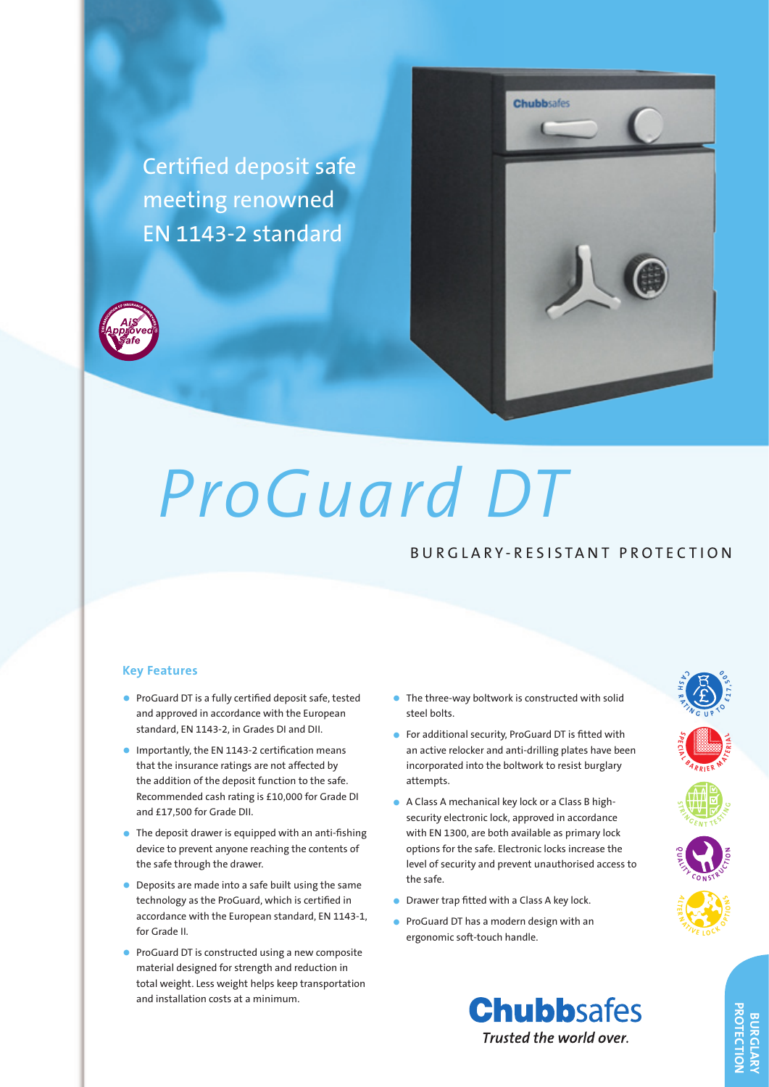

# *ProGuard DT*

# BURGLARY-RESISTANT PROTECTION

### **Key Features**

- • ProGuard DT is a fully certified deposit safe, tested and approved in accordance with the European standard, EN 1143-2, in Grades DI and DII.
- Importantly, the EN 1143-2 certification means that the insurance ratings are not affected by the addition of the deposit function to the safe. Recommended cash rating is £10,000 for Grade DI and £17,500 for Grade DII.
- $\bullet$  The deposit drawer is equipped with an anti-fishing device to prevent anyone reaching the contents of the safe through the drawer.
- Deposits are made into a safe built using the same technology as the ProGuard, which is certified in accordance with the European standard, EN 1143-1, for Grade II.
- ProGuard DT is constructed using a new composite material designed for strength and reduction in total weight. Less weight helps keep transportation and installation costs at a minimum.
- The three-way boltwork is constructed with solid steel bolts.
- • For additional security, ProGuard DT is fitted with an active relocker and anti-drilling plates have been incorporated into the boltwork to resist burglary attempts.
- • A Class A mechanical key lock or a Class B highsecurity electronic lock, approved in accordance with EN 1300, are both available as primary lock options for the safe. Electronic locks increase the level of security and prevent unauthorised access to the safe.
- Drawer trap fitted with a Class A key lock.
- ProGuard DT has a modern design with an ergonomic soft-touch handle.





**S P E C <sup>A</sup> <sup>L</sup> <sup>B</sup> <sup>A</sup> <sup>R</sup> <sup>R</sup> <sup>I</sup>**

**T**  $\frac{1}{2}$   $\frac{1}{2}$   $\frac{1}{2}$   $\frac{1}{2}$  $\frac{1}{100}$ 

**Q <sup>A</sup> <sup>L</sup> <sup>I</sup> <sup>T</sup> <sup>Y</sup> <sup>C</sup> <sup>O</sup> <sup>N</sup>N** STRUCTURE

**A LT R <sup>N</sup> <sup>A</sup> <sup>T</sup> <sup>I</sup> <sup>V</sup> <sup>E</sup> <sup>L</sup> <sup>O</sup> <sup>C</sup> <sup>K</sup> <sup>O</sup> <sup>P</sup> <sup>T</sup> <sup>I</sup> <sup>O</sup> <sup>N</sup> <sup>S</sup>**

**C A S H R <sup>A</sup> <sup>T</sup> <sup>I</sup> <sup>N</sup> <sup>G</sup> <sup>U</sup> <sup>P</sup> <sup>T</sup> <sup>O</sup> £ <sup>1</sup> <sup>7</sup> , <sup>5</sup> <sup>0</sup> <sup>0</sup>**

**E R M A C**<br>**IE R M A**